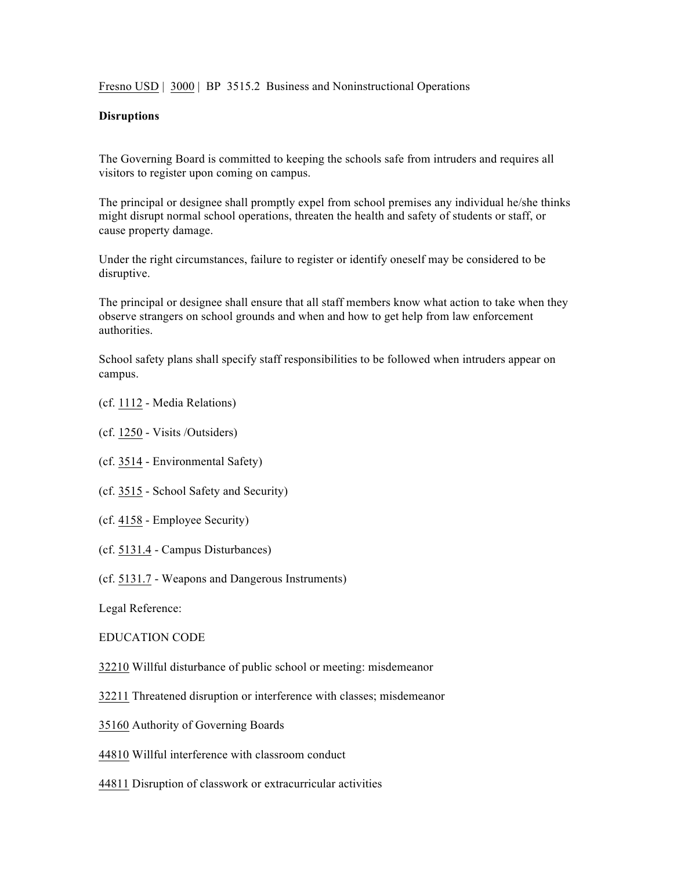Fresno USD | 3000 | BP 3515.2 Business and Noninstructional Operations

## **Disruptions**

The Governing Board is committed to keeping the schools safe from intruders and requires all visitors to register upon coming on campus.

The principal or designee shall promptly expel from school premises any individual he/she thinks might disrupt normal school operations, threaten the health and safety of students or staff, or cause property damage.

Under the right circumstances, failure to register or identify oneself may be considered to be disruptive.

The principal or designee shall ensure that all staff members know what action to take when they observe strangers on school grounds and when and how to get help from law enforcement authorities.

School safety plans shall specify staff responsibilities to be followed when intruders appear on campus.

- (cf. 1112 Media Relations)
- (cf. 1250 Visits /Outsiders)
- (cf. 3514 Environmental Safety)
- (cf. 3515 School Safety and Security)
- (cf. 4158 Employee Security)
- (cf. 5131.4 Campus Disturbances)
- (cf. 5131.7 Weapons and Dangerous Instruments)

Legal Reference:

## EDUCATION CODE

- 32210 Willful disturbance of public school or meeting: misdemeanor
- 32211 Threatened disruption or interference with classes; misdemeanor
- 35160 Authority of Governing Boards
- 44810 Willful interference with classroom conduct
- 44811 Disruption of classwork or extracurricular activities